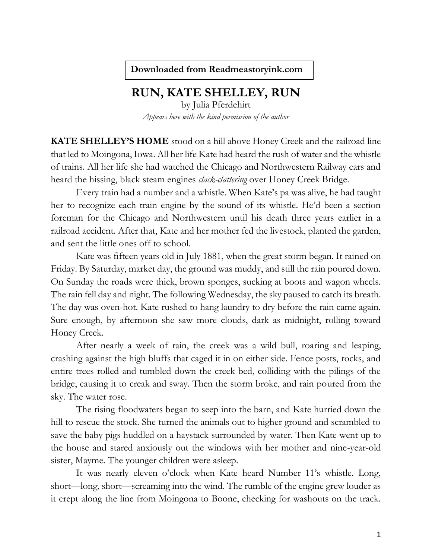**Downloaded from Readmeastoryink.com**

## **RUN, KATE SHELLEY, RUN**

by Julia Pferdehirt *Appears here with the kind permission of the author*

**KATE SHELLEY'S HOME** stood on a hill above Honey Creek and the railroad line that led to Moingona, Iowa. All her life Kate had heard the rush of water and the whistle of trains. All her life she had watched the Chicago and Northwestern Railway cars and heard the hissing, black steam engines *clack-clattering* over Honey Creek Bridge.

Every train had a number and a whistle. When Kate's pa was alive, he had taught her to recognize each train engine by the sound of its whistle. He'd been a section foreman for the Chicago and Northwestern until his death three years earlier in a railroad accident. After that, Kate and her mother fed the livestock, planted the garden, and sent the little ones off to school.

Kate was fifteen years old in July 1881, when the great storm began. It rained on Friday. By Saturday, market day, the ground was muddy, and still the rain poured down. On Sunday the roads were thick, brown sponges, sucking at boots and wagon wheels. The rain fell day and night. The following Wednesday, the sky paused to catch its breath. The day was oven-hot. Kate rushed to hang laundry to dry before the rain came again. Sure enough, by afternoon she saw more clouds, dark as midnight, rolling toward Honey Creek.

After nearly a week of rain, the creek was a wild bull, roaring and leaping, crashing against the high bluffs that caged it in on either side. Fence posts, rocks, and entire trees rolled and tumbled down the creek bed, colliding with the pilings of the bridge, causing it to creak and sway. Then the storm broke, and rain poured from the sky. The water rose.

The rising floodwaters began to seep into the barn, and Kate hurried down the hill to rescue the stock. She turned the animals out to higher ground and scrambled to save the baby pigs huddled on a haystack surrounded by water. Then Kate went up to the house and stared anxiously out the windows with her mother and nine-year-old sister, Mayme. The younger children were asleep.

It was nearly eleven o'clock when Kate heard Number 11's whistle. Long, short—long, short—screaming into the wind. The rumble of the engine grew louder as it crept along the line from Moingona to Boone, checking for washouts on the track.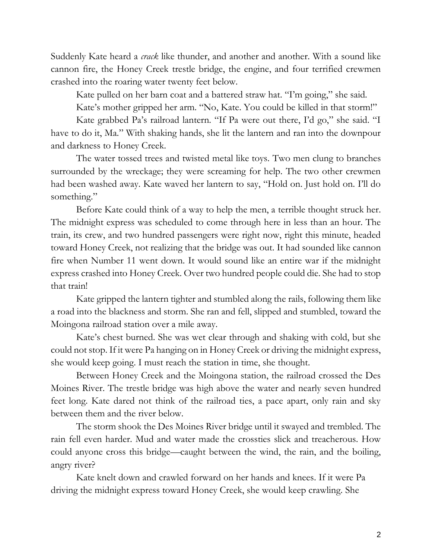Suddenly Kate heard a *crack* like thunder, and another and another. With a sound like cannon fire, the Honey Creek trestle bridge, the engine, and four terrified crewmen crashed into the roaring water twenty feet below.

Kate pulled on her barn coat and a battered straw hat. "I'm going," she said.

Kate's mother gripped her arm. "No, Kate. You could be killed in that storm!"

Kate grabbed Pa's railroad lantern. "If Pa were out there, I'd go," she said. "I have to do it, Ma." With shaking hands, she lit the lantern and ran into the downpour and darkness to Honey Creek.

The water tossed trees and twisted metal like toys. Two men clung to branches surrounded by the wreckage; they were screaming for help. The two other crewmen had been washed away. Kate waved her lantern to say, "Hold on. Just hold on. I'll do something."

Before Kate could think of a way to help the men, a terrible thought struck her. The midnight express was scheduled to come through here in less than an hour. The train, its crew, and two hundred passengers were right now, right this minute, headed toward Honey Creek, not realizing that the bridge was out. It had sounded like cannon fire when Number 11 went down. It would sound like an entire war if the midnight express crashed into Honey Creek. Over two hundred people could die. She had to stop that train!

Kate gripped the lantern tighter and stumbled along the rails, following them like a road into the blackness and storm. She ran and fell, slipped and stumbled, toward the Moingona railroad station over a mile away.

Kate's chest burned. She was wet clear through and shaking with cold, but she could not stop. If it were Pa hanging on in Honey Creek or driving the midnight express, she would keep going. I must reach the station in time, she thought.

Between Honey Creek and the Moingona station, the railroad crossed the Des Moines River. The trestle bridge was high above the water and nearly seven hundred feet long. Kate dared not think of the railroad ties, a pace apart, only rain and sky between them and the river below.

The storm shook the Des Moines River bridge until it swayed and trembled. The rain fell even harder. Mud and water made the crossties slick and treacherous. How could anyone cross this bridge—caught between the wind, the rain, and the boiling, angry river?

Kate knelt down and crawled forward on her hands and knees. If it were Pa driving the midnight express toward Honey Creek, she would keep crawling. She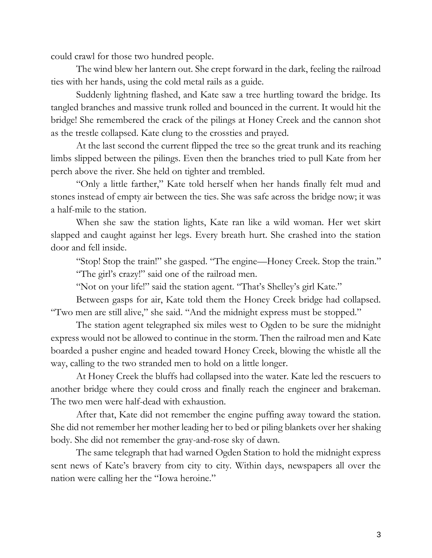could crawl for those two hundred people.

The wind blew her lantern out. She crept forward in the dark, feeling the railroad ties with her hands, using the cold metal rails as a guide.

Suddenly lightning flashed, and Kate saw a tree hurtling toward the bridge. Its tangled branches and massive trunk rolled and bounced in the current. It would hit the bridge! She remembered the crack of the pilings at Honey Creek and the cannon shot as the trestle collapsed. Kate clung to the crossties and prayed.

At the last second the current flipped the tree so the great trunk and its reaching limbs slipped between the pilings. Even then the branches tried to pull Kate from her perch above the river. She held on tighter and trembled.

"Only a little farther," Kate told herself when her hands finally felt mud and stones instead of empty air between the ties. She was safe across the bridge now; it was a half-mile to the station.

When she saw the station lights, Kate ran like a wild woman. Her wet skirt slapped and caught against her legs. Every breath hurt. She crashed into the station door and fell inside.

"Stop! Stop the train!" she gasped. "The engine—Honey Creek. Stop the train." "The girl's crazy!" said one of the railroad men.

"Not on your life!" said the station agent. "That's Shelley's girl Kate."

Between gasps for air, Kate told them the Honey Creek bridge had collapsed. "Two men are still alive," she said. "And the midnight express must be stopped."

The station agent telegraphed six miles west to Ogden to be sure the midnight express would not be allowed to continue in the storm. Then the railroad men and Kate boarded a pusher engine and headed toward Honey Creek, blowing the whistle all the way, calling to the two stranded men to hold on a little longer.

At Honey Creek the bluffs had collapsed into the water. Kate led the rescuers to another bridge where they could cross and finally reach the engineer and brakeman. The two men were half-dead with exhaustion.

After that, Kate did not remember the engine puffing away toward the station. She did not remember her mother leading her to bed or piling blankets over her shaking body. She did not remember the gray-and-rose sky of dawn.

The same telegraph that had warned Ogden Station to hold the midnight express sent news of Kate's bravery from city to city. Within days, newspapers all over the nation were calling her the "Iowa heroine."